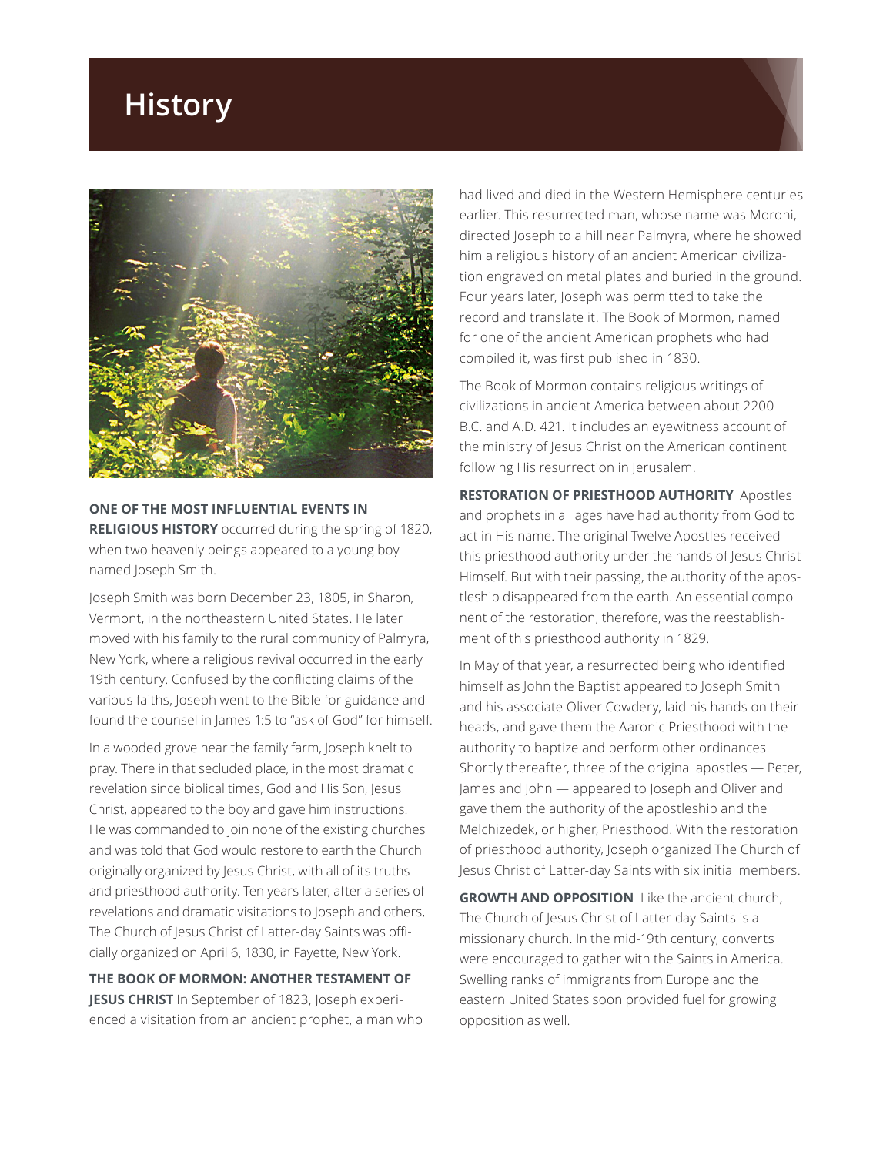## **History**



**ONE OF THE MOST INFLUENTIAL EVENTS IN RELIGIOUS HISTORY** occurred during the spring of 1820, when two heavenly beings appeared to a young boy named Joseph Smith.

Joseph Smith was born December 23, 1805, in Sharon, Vermont, in the northeastern United States. He later moved with his family to the rural community of Palmyra, New York, where a religious revival occurred in the early 19th century. Confused by the conflicting claims of the various faiths, Joseph went to the Bible for guidance and found the counsel in James 1:5 to "ask of God" for himself.

In a wooded grove near the family farm, Joseph knelt to pray. There in that secluded place, in the most dramatic revelation since biblical times, God and His Son, Jesus Christ, appeared to the boy and gave him instructions. He was commanded to join none of the existing churches and was told that God would restore to earth the Church originally organized by Jesus Christ, with all of its truths and priesthood authority. Ten years later, after a series of revelations and dramatic visitations to Joseph and others, The Church of Jesus Christ of Latter-day Saints was officially organized on April 6, 1830, in Fayette, New York.

**THE BOOK OF MORMON: ANOTHER TESTAMENT OF JESUS CHRIST** In September of 1823, Joseph experienced a visitation from an ancient prophet, a man who had lived and died in the Western Hemisphere centuries earlier. This resurrected man, whose name was Moroni, directed Joseph to a hill near Palmyra, where he showed him a religious history of an ancient American civilization engraved on metal plates and buried in the ground. Four years later, Joseph was permitted to take the record and translate it. The Book of Mormon, named for one of the ancient American prophets who had compiled it, was first published in 1830.

The Book of Mormon contains religious writings of civilizations in ancient America between about 2200 B.C. and A.D. 421. It includes an eyewitness account of the ministry of Jesus Christ on the American continent following His resurrection in Jerusalem.

**RESTORATION OF PRIESTHOOD AUTHORITY** Apostles and prophets in all ages have had authority from God to act in His name. The original Twelve Apostles received this priesthood authority under the hands of Jesus Christ Himself. But with their passing, the authority of the apostleship disappeared from the earth. An essential component of the restoration, therefore, was the reestablishment of this priesthood authority in 1829.

In May of that year, a resurrected being who identified himself as John the Baptist appeared to Joseph Smith and his associate Oliver Cowdery, laid his hands on their heads, and gave them the Aaronic Priesthood with the authority to baptize and perform other ordinances. Shortly thereafter, three of the original apostles — Peter, James and John — appeared to Joseph and Oliver and gave them the authority of the apostleship and the Melchizedek, or higher, Priesthood. With the restoration of priesthood authority, Joseph organized The Church of Jesus Christ of Latter-day Saints with six initial members.

**GROWTH AND OPPOSITION** Like the ancient church, The Church of Jesus Christ of Latter-day Saints is a missionary church. In the mid-19th century, converts were encouraged to gather with the Saints in America. Swelling ranks of immigrants from Europe and the eastern United States soon provided fuel for growing opposition as well.